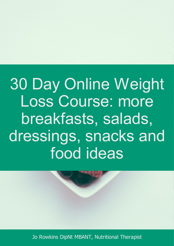30 Day Online Weight Loss Course: more breakfasts, salads, dressings, snacks and food ideas

Jo Rowkins DipNt MBANT, Nutritional Therapist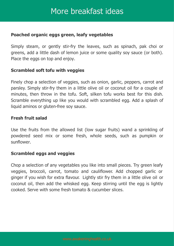## More breakfast ideas

## **Poached organic eggs green, leafy vegetables**

Simply steam, or gently stir-fry the leaves, such as spinach, pak choi or greens, add a little dash of lemon juice or some quality soy sauce (or both). Place the eggs on top and enjoy.

### **Scrambled soft tofu with veggies**

Finely chop a selection of veggies, such as onion, garlic, peppers, carrot and parsley. Simply stir-fry them in a little olive oil or coconut oil for a couple of minutes, then throw in the tofu. Soft, silken tofu works best for this dish. Scramble everything up like you would with scrambled egg. Add a splash of liquid aminos or gluten-free soy sauce.

### **Fresh fruit salad**

Use the fruits from the allowed list (low sugar fruits) wand a sprinkling of powdered seed mix or some fresh, whole seeds, such as pumpkin or sunflower.

### **Scrambled eggs and veggies**

Chop a selection of any vegetables you like into small pieces. Try green leafy veggies, broccoli, carrot, tomato and cauliflower. Add chopped garlic or ginger if you wish for extra flavour. Lightly stir fry them in a little olive oil or coconut oil, then add the whisked egg. Keep stirring until the egg is lightly cooked. Serve with some fresh tomato & cucumber slices.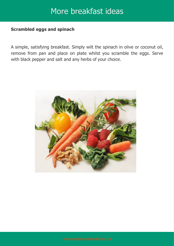# More breakfast ideas

### **Scrambled eggs and spinach**

A simple, satisfying breakfast. Simply wilt the spinach in olive or coconut oil, remove from pan and place on plate whilst you scramble the eggs. Serve with black pepper and salt and any herbs of your choice.

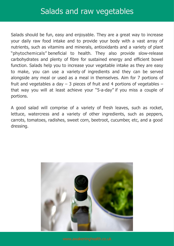Salads should be fun, easy and enjoyable. They are a great way to increase your daily raw food intake and to provide your body with a vast array of nutrients, such as vitamins and minerals, antioxidants and a variety of plant "phytochemicals" beneficial to health. They also provide slow-release carbohydrates and plenty of fibre for sustained energy and efficient bowel function. Salads help you to increase your vegetable intake as they are easy to make, you can use a variety of ingredients and they can be served alongside any meal or used as a meal in themselves. Aim for 7 portions of fruit and vegetables a day  $-$  3 pieces of fruit and 4 portions of vegetables  $$ that way you will at least achieve your "5-a-day" if you miss a couple of portions.

A good salad will comprise of a variety of fresh leaves, such as rocket, lettuce, watercress and a variety of other ingredients, such as peppers, carrots, tomatoes, radishes, sweet corn, beetroot, cucumber, etc, and a good dressing.

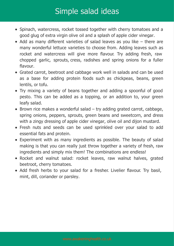# Simple salad ideas

- Spinach, watercress, rocket tossed together with cherry tomatoes and a good glug of extra virgin olive oil and a splash of apple cider vinegar.
- Add as many different varieties of salad leaves as you like there are many wonderful lettuce varieties to choose from. Adding leaves such as rocket and watercress will give more flavour. Try adding fresh, raw chopped garlic, sprouts, cress, radishes and spring onions for a fuller flavour.
- Grated carrot, beetroot and cabbage work well in salads and can be used as a base for adding protein foods such as chickpeas, beans, green lentils, or tofu.
- Try mixing a variety of beans together and adding a spoonful of good pesto. This can be added as a topping, or an addition to, your green leafy salad.
- $\bullet$  Brown rice makes a wonderful salad  $-$  try adding grated carrot, cabbage, spring onions, peppers, sprouts, green beans and sweetcorn, and dress with a zingy dressing of apple cider vinegar, olive oil and dijon mustard.
- Fresh nuts and seeds can be used sprinkled over your salad to add essential fats and protein.
- Experiment with as many ingredients as possible. The beauty of salad making is that you can really just throw together a variety of fresh, raw ingredients and simply mix them! The combinations are endless!
- Rocket and walnut salad: rocket leaves, raw walnut halves, grated beetroot, cherry tomatoes.
- Add fresh herbs to your salad for a fresher. Livelier flavour. Try basil, mint, dill, coriander or parsley.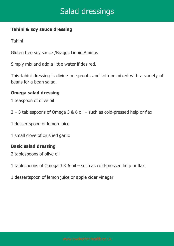# Salad dressings

### **Tahini & soy sauce dressing**

Tahini

Gluten free soy sauce /Braggs Liquid Aminos

Simply mix and add a little water if desired.

This tahini dressing is divine on sprouts and tofu or mixed with a variety of beans for a bean salad.

### **Omega salad dressing**

- 1 teaspoon of olive oil
- 2 3 tablespoons of Omega 3 & 6 oil such as cold-pressed help or flax
- 1 dessertspoon of lemon juice
- 1 small clove of crushed garlic

## **Basic salad dressing**

- 2 tablespoons of olive oil
- 1 tablespoons of Omega 3 & 6 oil such as cold-pressed help or flax
- 1 dessertspoon of lemon juice or apple cider vinegar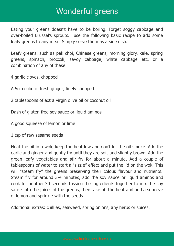## Wonderful greens

Eating your greens doesn't have to be boring. Forget soggy cabbage and over-boiled Brussel's sprouts… use the following basic recipe to add some leafy greens to any meal. Simply serve them as a side dish.

Leafy greens, such as pak choi, Chinese greens, morning glory, kale, spring greens, spinach, broccoli, savoy cabbage, white cabbage etc, or a combination of any of these.

4 garlic cloves, chopped

- A 5cm cube of fresh ginger, finely chopped
- 2 tablespoons of extra virgin olive oil or coconut oil

Dash of gluten-free soy sauce or liquid aminos

A good squeeze of lemon or lime

1 tsp of raw sesame seeds

Heat the oil in a wok, keep the heat low and don't let the oil smoke. Add the garlic and ginger and gently fry until they are soft and slightly brown. Add the green leafy vegetables and stir fry for about a minute. Add a couple of tablespoons of water to start a "sizzle" effect and put the lid on the wok. This will "steam fry" the greens preserving their colour, flavour and nutrients. Steam fry for around 3-4 minutes, add the soy sauce or liquid aminos and cook for another 30 seconds tossing the ingredients together to mix the soy sauce into the juices of the greens, then take off the heat and add a squeeze of lemon and sprinkle with the seeds.

Additional extras: chillies, seaweed, spring onions, any herbs or spices.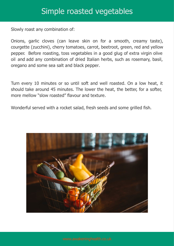## Simple roasted vegetables

Slowly roast any combination of:

Onions, garlic cloves (can leave skin on for a smooth, creamy taste), courgette (zucchini), cherry tomatoes, carrot, beetroot, green, red and yellow pepper. Before roasting, toss vegetables in a good glug of extra virgin olive oil and add any combination of dried Italian herbs, such as rosemary, basil, oregano and some sea salt and black pepper.

Turn every 10 minutes or so until soft and well roasted. On a low heat, it should take around 45 minutes. The lower the heat, the better, for a softer, more mellow "slow roasted" flavour and texture.

Wonderful served with a rocket salad, fresh seeds and some grilled fish.

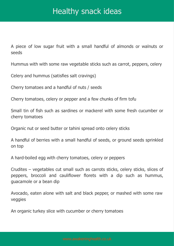# Healthy snack ideas

A piece of low sugar fruit with a small handful of almonds or walnuts or seeds

Hummus with with some raw vegetable sticks such as carrot, peppers, celery

Celery and hummus (satisfies salt cravings)

Cherry tomatoes and a handful of nuts / seeds

Cherry tomatoes, celery or pepper and a few chunks of firm tofu

Small tin of fish such as sardines or mackerel with some fresh cucumber or cherry tomatoes

Organic nut or seed butter or tahini spread onto celery sticks

A handful of berries with a small handful of seeds, or ground seeds sprinkled on top

A hard-boiled egg with cherry tomatoes, celery or peppers

Crudites – vegetables cut small such as carrots sticks, celery sticks, slices of peppers, broccoli and cauliflower florets with a dip such as hummus, guacamole or a bean dip

Avocado, eaten alone with salt and black pepper, or mashed with some raw veggies

An organic turkey slice with cucumber or cherry tomatoes